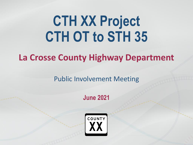# **CTH XX Project CTH OT to STH 35**

### **La Crosse County Highway Department**

Public Involvement Meeting

**June 2021**

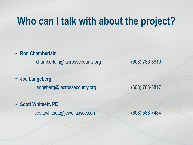### **Who can I talk with about the project?**

• **Ron Chamberlain**

rchamberlain@lacrossecounty.org (608) 786-3810

• **Joe Langeberg**

jlangeberg@lacrossecounty.org (608) 786-3817

• **Scott Whitsett, PE**

scott.whitsett@jewellassoc.com (608) 588-7484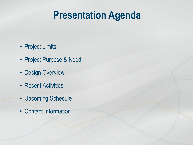### **Presentation Agenda**

- Project Limits
- Project Purpose & Need
- Design Overview
- Recent Activities
- Upcoming Schedule
- Contact Information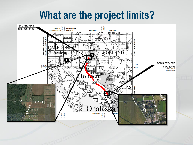### **What are the project limits?**

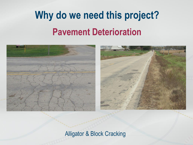## **Why do we need this project? Pavement Deterioration**





#### Alligator & Block Cracking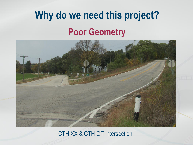## **Why do we need this project? Poor Geometry**



#### CTH XX & CTH OT Intersection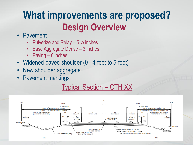### **What improvements are proposed? Design Overview**

- Pavement
	- Pulverize and Relay  $-5\frac{1}{2}$  inches
	- Base Aggregate Dense 3 inches
	- Paving 6 inches
- Widened paved shoulder (0 4-foot to 5-foot)
- New shoulder aggregate
- Pavement markings

#### Typical Section – CTH XX

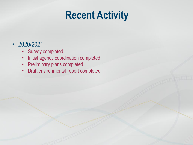### **Recent Activity**

#### • 2020/2021

- Survey completed
- Initial agency coordination completed
- Preliminary plans completed
- Draft environmental report completed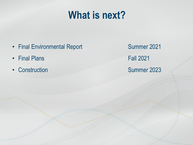### **What is next?**

- Final Environmental Report Summer 2021
- Final Plans Fall 2021
- 

• Construction Summer 2023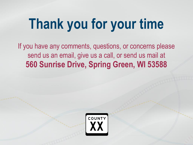# **Thank you for your time**

If you have any comments, questions, or concerns please send us an email, give us a call, or send us mail at **560 Sunrise Drive, Spring Green, WI 53588**